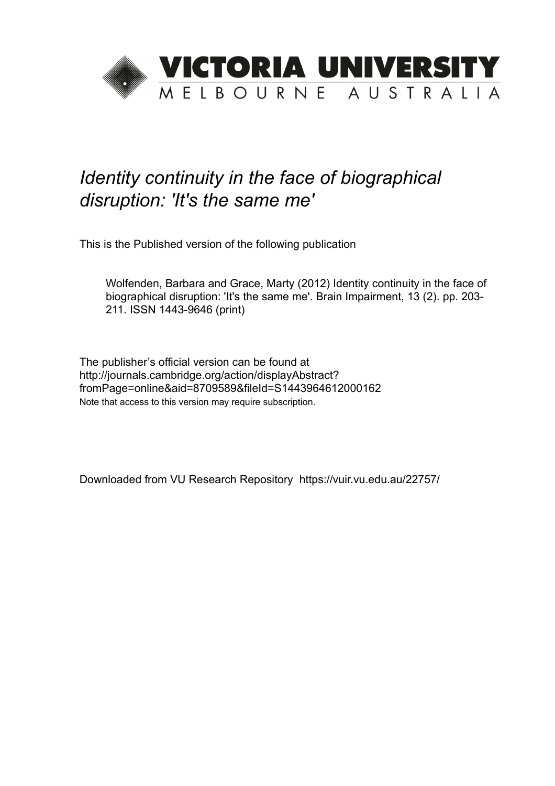

# *Identity continuity in the face of biographical disruption: 'It's the same me'*

This is the Published version of the following publication

Wolfenden, Barbara and Grace, Marty (2012) Identity continuity in the face of biographical disruption: 'It's the same me'. Brain Impairment, 13 (2). pp. 203- 211. ISSN 1443-9646 (print)

The publisher's official version can be found at http://journals.cambridge.org/action/displayAbstract? fromPage=online&aid=8709589&fileId=S1443964612000162 Note that access to this version may require subscription.

Downloaded from VU Research Repository https://vuir.vu.edu.au/22757/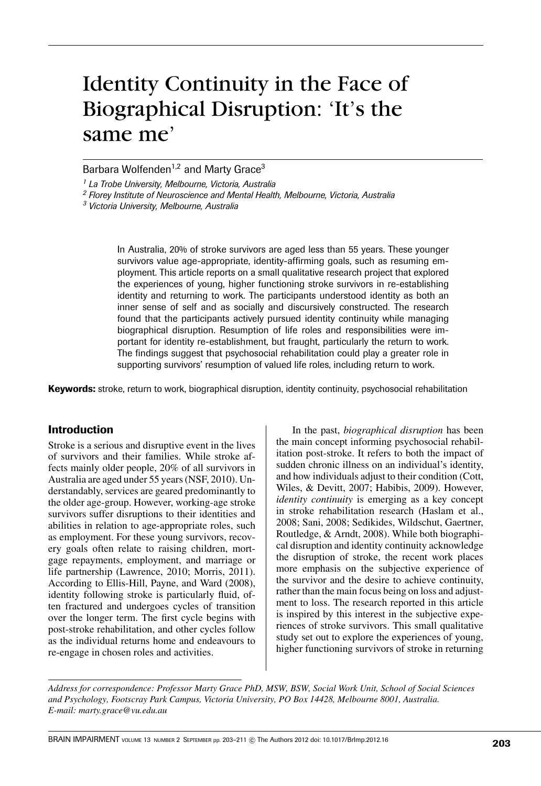## Identity Continuity in the Face of Biographical Disruption: 'It's the same me'

### Barbara Wolfenden<sup>1,2</sup> and Marty Grace<sup>3</sup>

*<sup>1</sup> La Trobe University, Melbourne, Victoria, Australia*

*<sup>2</sup> Florey Institute of Neuroscience and Mental Health, Melbourne, Victoria, Australia*

*<sup>3</sup> Victoria University, Melbourne, Australia*

In Australia, 20% of stroke survivors are aged less than 55 years. These younger survivors value age-appropriate, identity-affirming goals, such as resuming employment. This article reports on a small qualitative research project that explored the experiences of young, higher functioning stroke survivors in re-establishing identity and returning to work. The participants understood identity as both an inner sense of self and as socially and discursively constructed. The research found that the participants actively pursued identity continuity while managing biographical disruption. Resumption of life roles and responsibilities were important for identity re-establishment, but fraught, particularly the return to work. The findings suggest that psychosocial rehabilitation could play a greater role in supporting survivors' resumption of valued life roles, including return to work.

**Keywords:** stroke, return to work, biographical disruption, identity continuity, psychosocial rehabilitation

#### **Introduction**

Stroke is a serious and disruptive event in the lives of survivors and their families. While stroke affects mainly older people, 20% of all survivors in Australia are aged under 55 years (NSF, 2010). Understandably, services are geared predominantly to the older age-group. However, working-age stroke survivors suffer disruptions to their identities and abilities in relation to age-appropriate roles, such as employment. For these young survivors, recovery goals often relate to raising children, mortgage repayments, employment, and marriage or life partnership (Lawrence, 2010; Morris, 2011). According to Ellis-Hill, Payne, and Ward (2008), identity following stroke is particularly fluid, often fractured and undergoes cycles of transition over the longer term. The first cycle begins with post-stroke rehabilitation, and other cycles follow as the individual returns home and endeavours to re-engage in chosen roles and activities.

In the past, *biographical disruption* has been the main concept informing psychosocial rehabilitation post-stroke. It refers to both the impact of sudden chronic illness on an individual's identity, and how individuals adjust to their condition (Cott, Wiles, & Devitt, 2007; Habibis, 2009). However, *identity continuity* is emerging as a key concept in stroke rehabilitation research (Haslam et al., 2008; Sani, 2008; Sedikides, Wildschut, Gaertner, Routledge, & Arndt, 2008). While both biographical disruption and identity continuity acknowledge the disruption of stroke, the recent work places more emphasis on the subjective experience of the survivor and the desire to achieve continuity, rather than the main focus being on loss and adjustment to loss. The research reported in this article is inspired by this interest in the subjective experiences of stroke survivors. This small qualitative study set out to explore the experiences of young, higher functioning survivors of stroke in returning

*Address for correspondence: Professor Marty Grace PhD, MSW, BSW, Social Work Unit, School of Social Sciences and Psychology, Footscray Park Campus, Victoria University, PO Box 14428, Melbourne 8001, Australia. E-mail: marty.grace@vu.edu.au*

 $BRAIN IMPAIRMENT$  volume 13 number 2 September pp. 203–211 © The Authors 2012 doi: 10.1017/BrImp.2012.16 **203**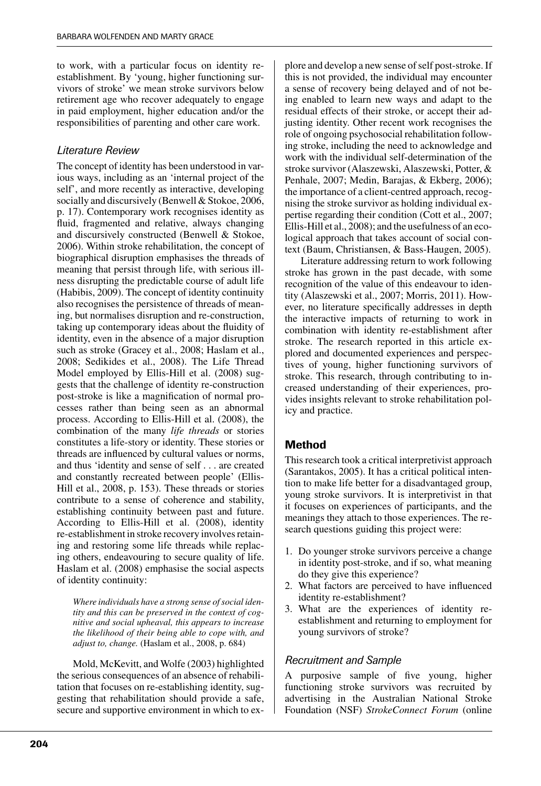to work, with a particular focus on identity reestablishment. By 'young, higher functioning survivors of stroke' we mean stroke survivors below retirement age who recover adequately to engage in paid employment, higher education and/or the responsibilities of parenting and other care work.

#### *Literature Review*

The concept of identity has been understood in various ways, including as an 'internal project of the self', and more recently as interactive, developing socially and discursively (Benwell & Stokoe, 2006, p. 17). Contemporary work recognises identity as fluid, fragmented and relative, always changing and discursively constructed (Benwell & Stokoe, 2006). Within stroke rehabilitation, the concept of biographical disruption emphasises the threads of meaning that persist through life, with serious illness disrupting the predictable course of adult life (Habibis, 2009). The concept of identity continuity also recognises the persistence of threads of meaning, but normalises disruption and re-construction, taking up contemporary ideas about the fluidity of identity, even in the absence of a major disruption such as stroke (Gracey et al., 2008; Haslam et al., 2008; Sedikides et al., 2008). The Life Thread Model employed by Ellis-Hill et al. (2008) suggests that the challenge of identity re-construction post-stroke is like a magnification of normal processes rather than being seen as an abnormal process. According to Ellis-Hill et al. (2008), the combination of the many *life threads* or stories constitutes a life-story or identity. These stories or threads are influenced by cultural values or norms, and thus 'identity and sense of self . . . are created and constantly recreated between people' (Ellis-Hill et al., 2008, p. 153). These threads or stories contribute to a sense of coherence and stability, establishing continuity between past and future. According to Ellis-Hill et al. (2008), identity re-establishment in stroke recovery involves retaining and restoring some life threads while replacing others, endeavouring to secure quality of life. Haslam et al. (2008) emphasise the social aspects of identity continuity:

*Where individuals have a strong sense of social identity and this can be preserved in the context of cognitive and social upheaval, this appears to increase the likelihood of their being able to cope with, and adjust to, change.* (Haslam et al., 2008, p. 684)

Mold, McKevitt, and Wolfe (2003) highlighted the serious consequences of an absence of rehabilitation that focuses on re-establishing identity, suggesting that rehabilitation should provide a safe, secure and supportive environment in which to explore and develop a new sense of self post-stroke. If this is not provided, the individual may encounter a sense of recovery being delayed and of not being enabled to learn new ways and adapt to the residual effects of their stroke, or accept their adjusting identity. Other recent work recognises the role of ongoing psychosocial rehabilitation following stroke, including the need to acknowledge and work with the individual self-determination of the stroke survivor (Alaszewski, Alaszewski, Potter, & Penhale, 2007; Medin, Barajas, & Ekberg, 2006); the importance of a client-centred approach, recognising the stroke survivor as holding individual expertise regarding their condition (Cott et al., 2007; Ellis-Hill et al., 2008); and the usefulness of an ecological approach that takes account of social context (Baum, Christiansen, & Bass-Haugen, 2005).

Literature addressing return to work following stroke has grown in the past decade, with some recognition of the value of this endeavour to identity (Alaszewski et al., 2007; Morris, 2011). However, no literature specifically addresses in depth the interactive impacts of returning to work in combination with identity re-establishment after stroke. The research reported in this article explored and documented experiences and perspectives of young, higher functioning survivors of stroke. This research, through contributing to increased understanding of their experiences, provides insights relevant to stroke rehabilitation policy and practice.

### **Method**

This research took a critical interpretivist approach (Sarantakos, 2005). It has a critical political intention to make life better for a disadvantaged group, young stroke survivors. It is interpretivist in that it focuses on experiences of participants, and the meanings they attach to those experiences. The research questions guiding this project were:

- 1. Do younger stroke survivors perceive a change in identity post-stroke, and if so, what meaning do they give this experience?
- 2. What factors are perceived to have influenced identity re-establishment?
- 3. What are the experiences of identity reestablishment and returning to employment for young survivors of stroke?

#### *Recruitment and Sample*

A purposive sample of five young, higher functioning stroke survivors was recruited by advertising in the Australian National Stroke Foundation (NSF) *StrokeConnect Forum* (online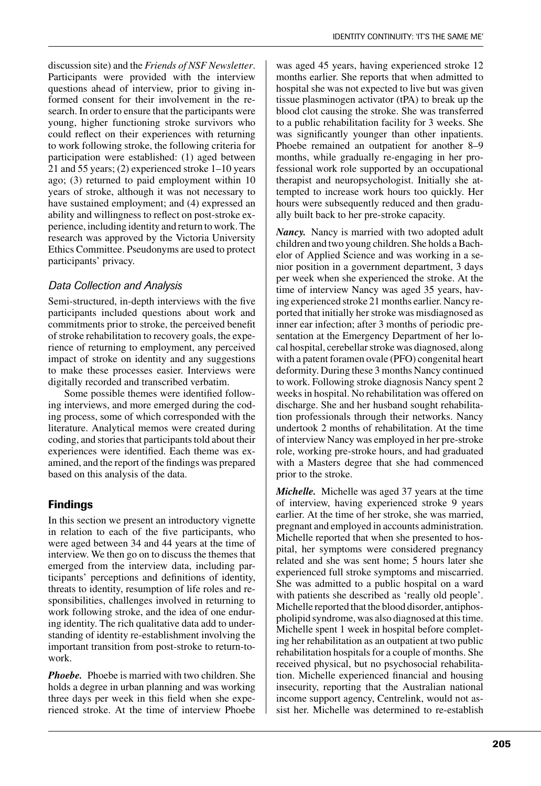discussion site) and the *Friends of NSF Newsletter*. Participants were provided with the interview questions ahead of interview, prior to giving informed consent for their involvement in the research. In order to ensure that the participants were young, higher functioning stroke survivors who could reflect on their experiences with returning to work following stroke, the following criteria for participation were established: (1) aged between 21 and 55 years; (2) experienced stroke 1–10 years ago; (3) returned to paid employment within 10 years of stroke, although it was not necessary to have sustained employment; and (4) expressed an ability and willingness to reflect on post-stroke experience, including identity and return to work. The research was approved by the Victoria University Ethics Committee. Pseudonyms are used to protect participants' privacy.

#### *Data Collection and Analysis*

Semi-structured, in-depth interviews with the five participants included questions about work and commitments prior to stroke, the perceived benefit of stroke rehabilitation to recovery goals, the experience of returning to employment, any perceived impact of stroke on identity and any suggestions to make these processes easier. Interviews were digitally recorded and transcribed verbatim.

Some possible themes were identified following interviews, and more emerged during the coding process, some of which corresponded with the literature. Analytical memos were created during coding, and stories that participants told about their experiences were identified. Each theme was examined, and the report of the findings was prepared based on this analysis of the data.

#### **Findings**

In this section we present an introductory vignette in relation to each of the five participants, who were aged between 34 and 44 years at the time of interview. We then go on to discuss the themes that emerged from the interview data, including participants' perceptions and definitions of identity, threats to identity, resumption of life roles and responsibilities, challenges involved in returning to work following stroke, and the idea of one enduring identity. The rich qualitative data add to understanding of identity re-establishment involving the important transition from post-stroke to return-towork.

*Phoebe.* Phoebe is married with two children. She holds a degree in urban planning and was working three days per week in this field when she experienced stroke. At the time of interview Phoebe was aged 45 years, having experienced stroke 12 months earlier. She reports that when admitted to hospital she was not expected to live but was given tissue plasminogen activator (tPA) to break up the blood clot causing the stroke. She was transferred to a public rehabilitation facility for 3 weeks. She was significantly younger than other inpatients. Phoebe remained an outpatient for another 8–9 months, while gradually re-engaging in her professional work role supported by an occupational therapist and neuropsychologist. Initially she attempted to increase work hours too quickly. Her hours were subsequently reduced and then gradually built back to her pre-stroke capacity.

*Nancy.* Nancy is married with two adopted adult children and two young children. She holds a Bachelor of Applied Science and was working in a senior position in a government department, 3 days per week when she experienced the stroke. At the time of interview Nancy was aged 35 years, having experienced stroke 21 months earlier. Nancy reported that initially her stroke was misdiagnosed as inner ear infection; after 3 months of periodic presentation at the Emergency Department of her local hospital, cerebellar stroke was diagnosed, along with a patent foramen ovale (PFO) congenital heart deformity. During these 3 months Nancy continued to work. Following stroke diagnosis Nancy spent 2 weeks in hospital. No rehabilitation was offered on discharge. She and her husband sought rehabilitation professionals through their networks. Nancy undertook 2 months of rehabilitation. At the time of interview Nancy was employed in her pre-stroke role, working pre-stroke hours, and had graduated with a Masters degree that she had commenced prior to the stroke.

*Michelle.* Michelle was aged 37 years at the time of interview, having experienced stroke 9 years earlier. At the time of her stroke, she was married, pregnant and employed in accounts administration. Michelle reported that when she presented to hospital, her symptoms were considered pregnancy related and she was sent home; 5 hours later she experienced full stroke symptoms and miscarried. She was admitted to a public hospital on a ward with patients she described as 'really old people'. Michelle reported that the blood disorder, antiphospholipid syndrome, was also diagnosed at this time. Michelle spent 1 week in hospital before completing her rehabilitation as an outpatient at two public rehabilitation hospitals for a couple of months. She received physical, but no psychosocial rehabilitation. Michelle experienced financial and housing insecurity, reporting that the Australian national income support agency, Centrelink, would not assist her. Michelle was determined to re-establish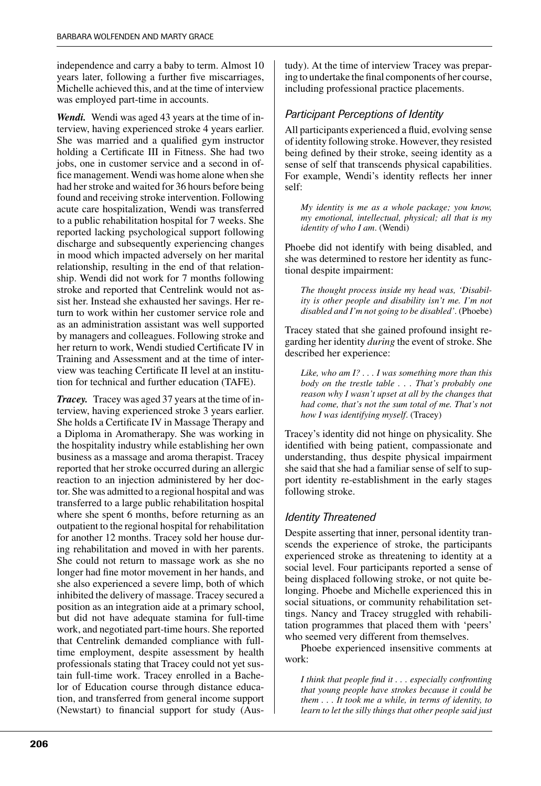independence and carry a baby to term. Almost 10 years later, following a further five miscarriages, Michelle achieved this, and at the time of interview was employed part-time in accounts.

*Wendi.* Wendi was aged 43 years at the time of interview, having experienced stroke 4 years earlier. She was married and a qualified gym instructor holding a Certificate III in Fitness. She had two jobs, one in customer service and a second in office management. Wendi was home alone when she had her stroke and waited for 36 hours before being found and receiving stroke intervention. Following acute care hospitalization, Wendi was transferred to a public rehabilitation hospital for 7 weeks. She reported lacking psychological support following discharge and subsequently experiencing changes in mood which impacted adversely on her marital relationship, resulting in the end of that relationship. Wendi did not work for 7 months following stroke and reported that Centrelink would not assist her. Instead she exhausted her savings. Her return to work within her customer service role and as an administration assistant was well supported by managers and colleagues. Following stroke and her return to work, Wendi studied Certificate IV in Training and Assessment and at the time of interview was teaching Certificate II level at an institution for technical and further education (TAFE).

*Tracey.* Tracey was aged 37 years at the time of interview, having experienced stroke 3 years earlier. She holds a Certificate IV in Massage Therapy and a Diploma in Aromatherapy. She was working in the hospitality industry while establishing her own business as a massage and aroma therapist. Tracey reported that her stroke occurred during an allergic reaction to an injection administered by her doctor. She was admitted to a regional hospital and was transferred to a large public rehabilitation hospital where she spent 6 months, before returning as an outpatient to the regional hospital for rehabilitation for another 12 months. Tracey sold her house during rehabilitation and moved in with her parents. She could not return to massage work as she no longer had fine motor movement in her hands, and she also experienced a severe limp, both of which inhibited the delivery of massage. Tracey secured a position as an integration aide at a primary school, but did not have adequate stamina for full-time work, and negotiated part-time hours. She reported that Centrelink demanded compliance with fulltime employment, despite assessment by health professionals stating that Tracey could not yet sustain full-time work. Tracey enrolled in a Bachelor of Education course through distance education, and transferred from general income support (Newstart) to financial support for study (Austudy). At the time of interview Tracey was preparing to undertake the final components of her course, including professional practice placements.

#### *Participant Perceptions of Identity*

All participants experienced a fluid, evolving sense of identity following stroke. However, they resisted being defined by their stroke, seeing identity as a sense of self that transcends physical capabilities. For example, Wendi's identity reflects her inner self:

*My identity is me as a whole package; you know, my emotional, intellectual, physical; all that is my identity of who I am*. (Wendi)

Phoebe did not identify with being disabled, and she was determined to restore her identity as functional despite impairment:

*The thought process inside my head was, 'Disability is other people and disability isn't me. I'm not disabled and I'm not going to be disabled'*. (Phoebe)

Tracey stated that she gained profound insight regarding her identity *during* the event of stroke. She described her experience:

*Like, who am I? . . . I was something more than this body on the trestle table . . . That's probably one reason why I wasn't upset at all by the changes that had come, that's not the sum total of me. That's not how I was identifying myself*. (Tracey)

Tracey's identity did not hinge on physicality. She identified with being patient, compassionate and understanding, thus despite physical impairment she said that she had a familiar sense of self to support identity re-establishment in the early stages following stroke.

### *Identity Threatened*

Despite asserting that inner, personal identity transcends the experience of stroke, the participants experienced stroke as threatening to identity at a social level. Four participants reported a sense of being displaced following stroke, or not quite belonging. Phoebe and Michelle experienced this in social situations, or community rehabilitation settings. Nancy and Tracey struggled with rehabilitation programmes that placed them with 'peers' who seemed very different from themselves.

Phoebe experienced insensitive comments at work:

*I think that people find it . . . especially confronting that young people have strokes because it could be them . . . It took me a while, in terms of identity, to learn to let the silly things that other people said just*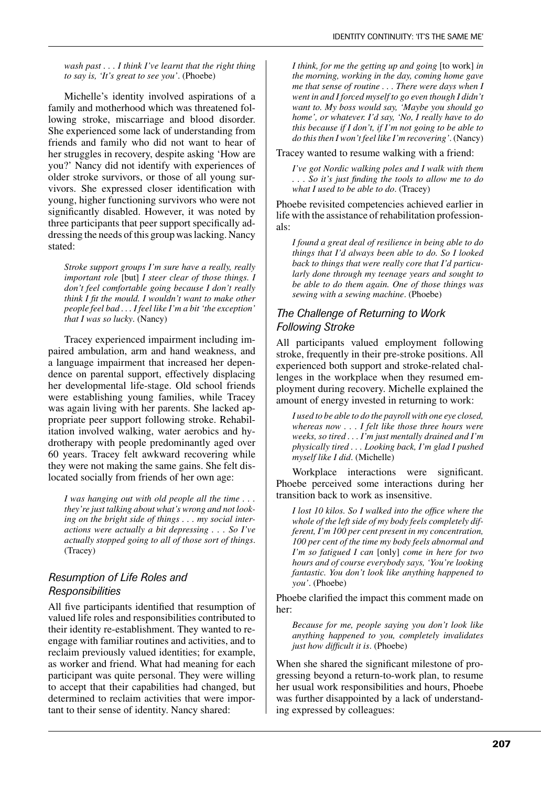*wash past . . . I think I've learnt that the right thing to say is, 'It's great to see you'*. (Phoebe)

Michelle's identity involved aspirations of a family and motherhood which was threatened following stroke, miscarriage and blood disorder. She experienced some lack of understanding from friends and family who did not want to hear of her struggles in recovery, despite asking 'How are you?' Nancy did not identify with experiences of older stroke survivors, or those of all young survivors. She expressed closer identification with young, higher functioning survivors who were not significantly disabled. However, it was noted by three participants that peer support specifically addressing the needs of this group was lacking. Nancy stated:

*Stroke support groups I'm sure have a really, really important role* [but] *I steer clear of those things. I don't feel comfortable going because I don't really think I fit the mould. I wouldn't want to make other people feel bad ...I feel like I'm a bit 'the exception' that I was so lucky*. (Nancy)

Tracey experienced impairment including impaired ambulation, arm and hand weakness, and a language impairment that increased her dependence on parental support, effectively displacing her developmental life-stage. Old school friends were establishing young families, while Tracey was again living with her parents. She lacked appropriate peer support following stroke. Rehabilitation involved walking, water aerobics and hydrotherapy with people predominantly aged over 60 years. Tracey felt awkward recovering while they were not making the same gains. She felt dislocated socially from friends of her own age:

*I was hanging out with old people all the time . . . they're just talking about what's wrong and not looking on the bright side of things . . . my social interactions were actually a bit depressing . . . So I've actually stopped going to all of those sort of things*. (Tracey)

#### *Resumption of Life Roles and Responsibilities*

All five participants identified that resumption of valued life roles and responsibilities contributed to their identity re-establishment. They wanted to reengage with familiar routines and activities, and to reclaim previously valued identities; for example, as worker and friend. What had meaning for each participant was quite personal. They were willing to accept that their capabilities had changed, but determined to reclaim activities that were important to their sense of identity. Nancy shared:

*I think, for me the getting up and going* [to work] *in the morning, working in the day, coming home gave me that sense of routine . . . There were days when I went in and I forced myself to go even though I didn't want to. My boss would say, 'Maybe you should go home', or whatever. I'd say, 'No, I really have to do this because if I don't, if I'm not going to be able to do this then I won't feel like I'm recovering'*. (Nancy)

#### Tracey wanted to resume walking with a friend:

*I've got Nordic walking poles and I walk with them . . . So it's just finding the tools to allow me to do what I used to be able to do*. (Tracey)

Phoebe revisited competencies achieved earlier in life with the assistance of rehabilitation professionals:

*I found a great deal of resilience in being able to do things that I'd always been able to do. So I looked back to things that were really core that I'd particularly done through my teenage years and sought to be able to do them again. One of those things was sewing with a sewing machine*. (Phoebe)

#### *The Challenge of Returning to Work Following Stroke*

All participants valued employment following stroke, frequently in their pre-stroke positions. All experienced both support and stroke-related challenges in the workplace when they resumed employment during recovery. Michelle explained the amount of energy invested in returning to work:

*I used to be able to do the payroll with one eye closed, whereas now . . . I felt like those three hours were weeks, so tired . . . I'm just mentally drained and I'm physically tired . . . Looking back, I'm glad I pushed myself like I did*. (Michelle)

Workplace interactions were significant. Phoebe perceived some interactions during her transition back to work as insensitive.

*I lost 10 kilos. So I walked into the office where the whole of the left side of my body feels completely different, I'm 100 per cent present in my concentration, 100 per cent of the time my body feels abnormal and I'm so fatigued I can* [only] *come in here for two hours and of course everybody says, 'You're looking fantastic. You don't look like anything happened to you'*. (Phoebe)

Phoebe clarified the impact this comment made on her:

*Because for me, people saying you don't look like anything happened to you, completely invalidates just how difficult it is*. (Phoebe)

When she shared the significant milestone of progressing beyond a return-to-work plan, to resume her usual work responsibilities and hours, Phoebe was further disappointed by a lack of understanding expressed by colleagues: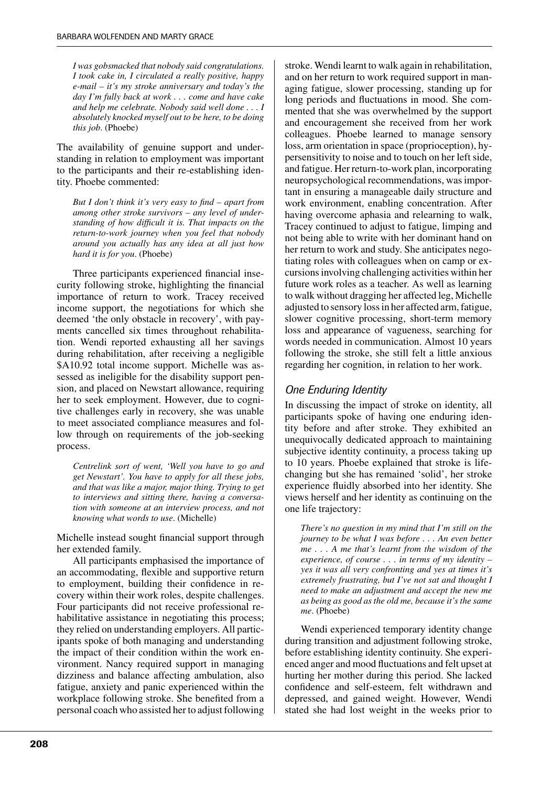*I was gobsmacked that nobody said congratulations. I took cake in, I circulated a really positive, happy e-mail – it's my stroke anniversary and today's the day I'm fully back at work . . . come and have cake and help me celebrate. Nobody said well done . . . I absolutely knocked myself out to be here, to be doing this job*. (Phoebe)

The availability of genuine support and understanding in relation to employment was important to the participants and their re-establishing identity. Phoebe commented:

*But I don't think it's very easy to find – apart from among other stroke survivors – any level of understanding of how difficult it is. That impacts on the return-to-work journey when you feel that nobody around you actually has any idea at all just how hard it is for you*. (Phoebe)

Three participants experienced financial insecurity following stroke, highlighting the financial importance of return to work. Tracey received income support, the negotiations for which she deemed 'the only obstacle in recovery', with payments cancelled six times throughout rehabilitation. Wendi reported exhausting all her savings during rehabilitation, after receiving a negligible \$A10.92 total income support. Michelle was assessed as ineligible for the disability support pension, and placed on Newstart allowance, requiring her to seek employment. However, due to cognitive challenges early in recovery, she was unable to meet associated compliance measures and follow through on requirements of the job-seeking process.

*Centrelink sort of went, 'Well you have to go and get Newstart'. You have to apply for all these jobs, and that was like a major, major thing. Trying to get to interviews and sitting there, having a conversation with someone at an interview process, and not knowing what words to use*. (Michelle)

Michelle instead sought financial support through her extended family.

All participants emphasised the importance of an accommodating, flexible and supportive return to employment, building their confidence in recovery within their work roles, despite challenges. Four participants did not receive professional rehabilitative assistance in negotiating this process; they relied on understanding employers. All participants spoke of both managing and understanding the impact of their condition within the work environment. Nancy required support in managing dizziness and balance affecting ambulation, also fatigue, anxiety and panic experienced within the workplace following stroke. She benefited from a personal coach who assisted her to adjust following stroke. Wendi learnt to walk again in rehabilitation, and on her return to work required support in managing fatigue, slower processing, standing up for long periods and fluctuations in mood. She commented that she was overwhelmed by the support and encouragement she received from her work colleagues. Phoebe learned to manage sensory loss, arm orientation in space (proprioception), hypersensitivity to noise and to touch on her left side, and fatigue. Her return-to-work plan, incorporating neuropsychological recommendations, was important in ensuring a manageable daily structure and work environment, enabling concentration. After having overcome aphasia and relearning to walk, Tracey continued to adjust to fatigue, limping and not being able to write with her dominant hand on her return to work and study. She anticipates negotiating roles with colleagues when on camp or excursions involving challenging activities within her future work roles as a teacher. As well as learning to walk without dragging her affected leg, Michelle adjusted to sensory loss in her affected arm, fatigue, slower cognitive processing, short-term memory loss and appearance of vagueness, searching for words needed in communication. Almost 10 years following the stroke, she still felt a little anxious regarding her cognition, in relation to her work.

### *One Enduring Identity*

In discussing the impact of stroke on identity, all participants spoke of having one enduring identity before and after stroke. They exhibited an unequivocally dedicated approach to maintaining subjective identity continuity, a process taking up to 10 years. Phoebe explained that stroke is lifechanging but she has remained 'solid', her stroke experience fluidly absorbed into her identity. She views herself and her identity as continuing on the one life trajectory:

*There's no question in my mind that I'm still on the journey to be what I was before . . . An even better me . . . A me that's learnt from the wisdom of the experience, of course . . . in terms of my identity – yes it was all very confronting and yes at times it's extremely frustrating, but I've not sat and thought I need to make an adjustment and accept the new me as being as good as the old me, because it's the same me*. (Phoebe)

Wendi experienced temporary identity change during transition and adjustment following stroke, before establishing identity continuity. She experienced anger and mood fluctuations and felt upset at hurting her mother during this period. She lacked confidence and self-esteem, felt withdrawn and depressed, and gained weight. However, Wendi stated she had lost weight in the weeks prior to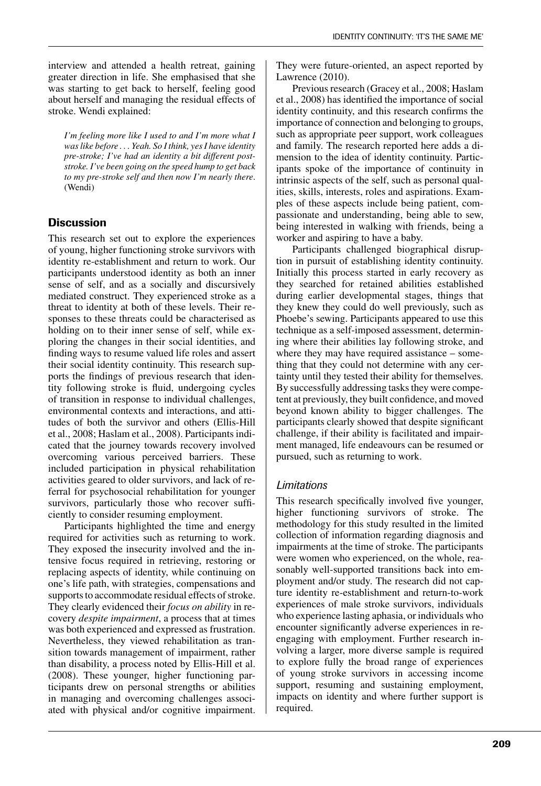interview and attended a health retreat, gaining greater direction in life. She emphasised that she was starting to get back to herself, feeling good about herself and managing the residual effects of stroke. Wendi explained:

*I'm feeling more like I used to and I'm more what I was like before . . . Yeah. So I think, yes I have identity pre-stroke; I've had an identity a bit different poststroke. I've been going on the speed hump to get back to my pre-stroke self and then now I'm nearly there*. (Wendi)

#### **Discussion**

This research set out to explore the experiences of young, higher functioning stroke survivors with identity re-establishment and return to work. Our participants understood identity as both an inner sense of self, and as a socially and discursively mediated construct. They experienced stroke as a threat to identity at both of these levels. Their responses to these threats could be characterised as holding on to their inner sense of self, while exploring the changes in their social identities, and finding ways to resume valued life roles and assert their social identity continuity. This research supports the findings of previous research that identity following stroke is fluid, undergoing cycles of transition in response to individual challenges, environmental contexts and interactions, and attitudes of both the survivor and others (Ellis-Hill et al., 2008; Haslam et al., 2008). Participants indicated that the journey towards recovery involved overcoming various perceived barriers. These included participation in physical rehabilitation activities geared to older survivors, and lack of referral for psychosocial rehabilitation for younger survivors, particularly those who recover sufficiently to consider resuming employment.

Participants highlighted the time and energy required for activities such as returning to work. They exposed the insecurity involved and the intensive focus required in retrieving, restoring or replacing aspects of identity, while continuing on one's life path, with strategies, compensations and supports to accommodate residual effects of stroke. They clearly evidenced their *focus on ability* in recovery *despite impairment*, a process that at times was both experienced and expressed as frustration. Nevertheless, they viewed rehabilitation as transition towards management of impairment, rather than disability, a process noted by Ellis-Hill et al. (2008). These younger, higher functioning participants drew on personal strengths or abilities in managing and overcoming challenges associated with physical and/or cognitive impairment.

They were future-oriented, an aspect reported by Lawrence (2010).

Previous research (Gracey et al., 2008; Haslam et al., 2008) has identified the importance of social identity continuity, and this research confirms the importance of connection and belonging to groups, such as appropriate peer support, work colleagues and family. The research reported here adds a dimension to the idea of identity continuity. Participants spoke of the importance of continuity in intrinsic aspects of the self, such as personal qualities, skills, interests, roles and aspirations. Examples of these aspects include being patient, compassionate and understanding, being able to sew, being interested in walking with friends, being a worker and aspiring to have a baby.

Participants challenged biographical disruption in pursuit of establishing identity continuity. Initially this process started in early recovery as they searched for retained abilities established during earlier developmental stages, things that they knew they could do well previously, such as Phoebe's sewing. Participants appeared to use this technique as a self-imposed assessment, determining where their abilities lay following stroke, and where they may have required assistance – something that they could not determine with any certainty until they tested their ability for themselves. By successfully addressing tasks they were competent at previously, they built confidence, and moved beyond known ability to bigger challenges. The participants clearly showed that despite significant challenge, if their ability is facilitated and impairment managed, life endeavours can be resumed or pursued, such as returning to work.

#### *Limitations*

This research specifically involved five younger, higher functioning survivors of stroke. The methodology for this study resulted in the limited collection of information regarding diagnosis and impairments at the time of stroke. The participants were women who experienced, on the whole, reasonably well-supported transitions back into employment and/or study. The research did not capture identity re-establishment and return-to-work experiences of male stroke survivors, individuals who experience lasting aphasia, or individuals who encounter significantly adverse experiences in reengaging with employment. Further research involving a larger, more diverse sample is required to explore fully the broad range of experiences of young stroke survivors in accessing income support, resuming and sustaining employment, impacts on identity and where further support is required.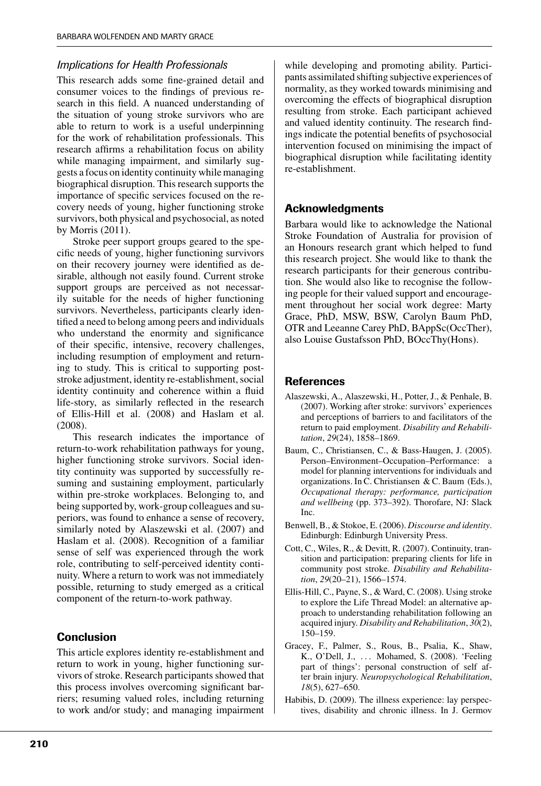#### *Implications for Health Professionals*

This research adds some fine-grained detail and consumer voices to the findings of previous research in this field. A nuanced understanding of the situation of young stroke survivors who are able to return to work is a useful underpinning for the work of rehabilitation professionals. This research affirms a rehabilitation focus on ability while managing impairment, and similarly suggests a focus on identity continuity while managing biographical disruption. This research supports the importance of specific services focused on the recovery needs of young, higher functioning stroke survivors, both physical and psychosocial, as noted by Morris (2011).

Stroke peer support groups geared to the specific needs of young, higher functioning survivors on their recovery journey were identified as desirable, although not easily found. Current stroke support groups are perceived as not necessarily suitable for the needs of higher functioning survivors. Nevertheless, participants clearly identified a need to belong among peers and individuals who understand the enormity and significance of their specific, intensive, recovery challenges, including resumption of employment and returning to study. This is critical to supporting poststroke adjustment, identity re-establishment, social identity continuity and coherence within a fluid life-story, as similarly reflected in the research of Ellis-Hill et al. (2008) and Haslam et al. (2008).

This research indicates the importance of return-to-work rehabilitation pathways for young, higher functioning stroke survivors. Social identity continuity was supported by successfully resuming and sustaining employment, particularly within pre-stroke workplaces. Belonging to, and being supported by, work-group colleagues and superiors, was found to enhance a sense of recovery, similarly noted by Alaszewski et al. (2007) and Haslam et al. (2008). Recognition of a familiar sense of self was experienced through the work role, contributing to self-perceived identity continuity. Where a return to work was not immediately possible, returning to study emerged as a critical component of the return-to-work pathway.

### **Conclusion**

This article explores identity re-establishment and return to work in young, higher functioning survivors of stroke. Research participants showed that this process involves overcoming significant barriers; resuming valued roles, including returning to work and/or study; and managing impairment while developing and promoting ability. Participants assimilated shifting subjective experiences of normality, as they worked towards minimising and overcoming the effects of biographical disruption resulting from stroke. Each participant achieved and valued identity continuity. The research findings indicate the potential benefits of psychosocial intervention focused on minimising the impact of biographical disruption while facilitating identity re-establishment.

#### **Acknowledgments**

Barbara would like to acknowledge the National Stroke Foundation of Australia for provision of an Honours research grant which helped to fund this research project. She would like to thank the research participants for their generous contribution. She would also like to recognise the following people for their valued support and encouragement throughout her social work degree: Marty Grace, PhD, MSW, BSW, Carolyn Baum PhD, OTR and Leeanne Carey PhD, BAppSc(OccTher), also Louise Gustafsson PhD, BOccThy(Hons).

#### **References**

- Alaszewski, A., Alaszewski, H., Potter, J., & Penhale, B. (2007). Working after stroke: survivors' experiences and perceptions of barriers to and facilitators of the return to paid employment. *Disability and Rehabilitation*, *29*(24), 1858–1869.
- Baum, C., Christiansen, C., & Bass-Haugen, J. (2005). Person–Environment–Occupation–Performance: a model for planning interventions for individuals and organizations. In C. Christiansen & C. Baum (Eds.), *Occupational therapy: performance, participation and wellbeing* (pp. 373–392). Thorofare, NJ: Slack Inc.
- Benwell, B., & Stokoe, E. (2006). *Discourse and identity*. Edinburgh: Edinburgh University Press.
- Cott, C., Wiles, R., & Devitt, R. (2007). Continuity, transition and participation: preparing clients for life in community post stroke. *Disability and Rehabilitation*, *29*(20–21), 1566–1574.
- Ellis-Hill, C., Payne, S., & Ward, C. (2008). Using stroke to explore the Life Thread Model: an alternative approach to understanding rehabilitation following an acquired injury. *Disability and Rehabilitation*, *30*(2), 150–159.
- Gracey, F., Palmer, S., Rous, B., Psalia, K., Shaw, K., O'Dell, J., ... Mohamed, S. (2008). 'Feeling part of things': personal construction of self after brain injury. *Neuropsychological Rehabilitation*, *18*(5), 627–650.
- Habibis, D. (2009). The illness experience: lay perspectives, disability and chronic illness. In J. Germov